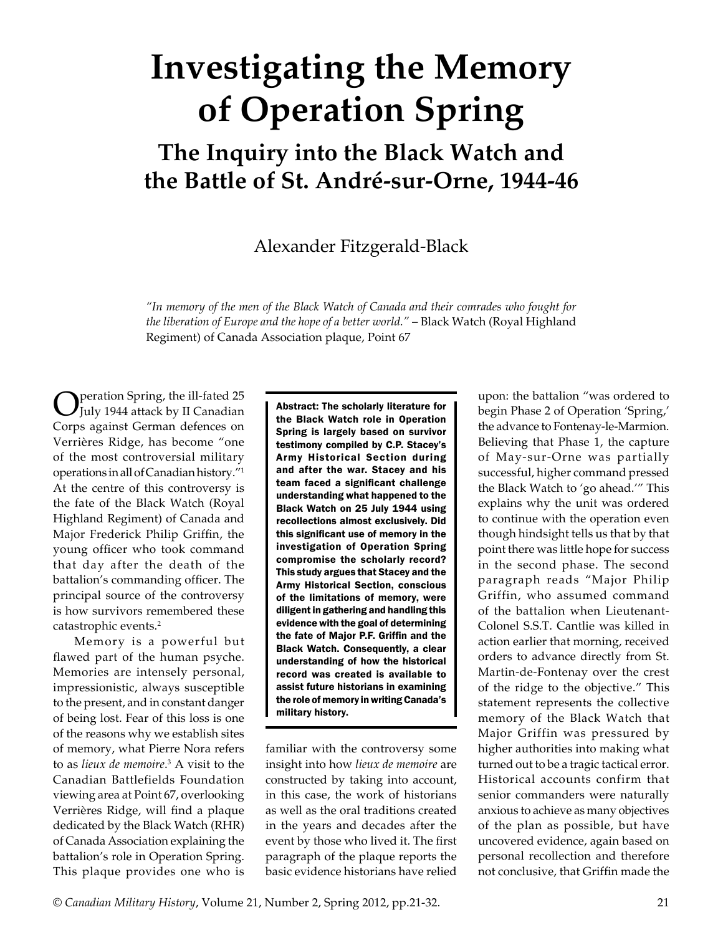## **Investigating the Memory of Operation Spring**

## **The Inquiry into the Black Watch and the Battle of St. André-sur-Orne, 1944-46**

Alexander Fitzgerald-Black

*"In memory of the men of the Black Watch of Canada and their comrades who fought for the liberation of Europe and the hope of a better world."* – Black Watch (Royal Highland Regiment) of Canada Association plaque, Point 67

Operation Spring, the ill-fated 25 July 1944 attack by II Canadian Corps against German defences on Verrières Ridge, has become "one of the most controversial military operations in all of Canadian history."1 At the centre of this controversy is the fate of the Black Watch (Royal Highland Regiment) of Canada and Major Frederick Philip Griffin, the young officer who took command that day after the death of the battalion's commanding officer. The principal source of the controversy is how survivors remembered these catastrophic events.<sup>2</sup>

Memory is a powerful but flawed part of the human psyche. Memories are intensely personal, impressionistic, always susceptible to the present, and in constant danger of being lost. Fear of this loss is one of the reasons why we establish sites of memory, what Pierre Nora refers to as *lieux de memoire*. 3 A visit to the Canadian Battlefields Foundation viewing area at Point 67, overlooking Verrières Ridge, will find a plaque dedicated by the Black Watch (RHR) of Canada Association explaining the battalion's role in Operation Spring. This plaque provides one who is

Abstract: The scholarly literature for the Black Watch role in Operation Spring is largely based on survivor testimony compiled by C.P. Stacey's Army Historical Section during and after the war. Stacey and his team faced a significant challenge understanding what happened to the Black Watch on 25 July 1944 using recollections almost exclusively. Did this significant use of memory in the investigation of Operation Spring compromise the scholarly record? This study argues that Stacey and the Army Historical Section, conscious of the limitations of memory, were diligent in gathering and handling this evidence with the goal of determining the fate of Major P.F. Griffin and the Black Watch. Consequently, a clear understanding of how the historical record was created is available to assist future historians in examining the role of memory in writing Canada's military history.

familiar with the controversy some insight into how *lieux de memoire* are constructed by taking into account, in this case, the work of historians as well as the oral traditions created in the years and decades after the event by those who lived it. The first paragraph of the plaque reports the basic evidence historians have relied

upon: the battalion "was ordered to begin Phase 2 of Operation 'Spring,' the advance to Fontenay-le-Marmion. Believing that Phase 1, the capture of May-sur-Orne was partially successful, higher command pressed the Black Watch to 'go ahead.'" This explains why the unit was ordered to continue with the operation even though hindsight tells us that by that point there was little hope for success in the second phase. The second paragraph reads "Major Philip Griffin, who assumed command of the battalion when Lieutenant-Colonel S.S.T. Cantlie was killed in action earlier that morning, received orders to advance directly from St. Martin-de-Fontenay over the crest of the ridge to the objective." This statement represents the collective memory of the Black Watch that Major Griffin was pressured by higher authorities into making what turned out to be a tragic tactical error. Historical accounts confirm that senior commanders were naturally anxious to achieve as many objectives of the plan as possible, but have uncovered evidence, again based on personal recollection and therefore not conclusive, that Griffin made the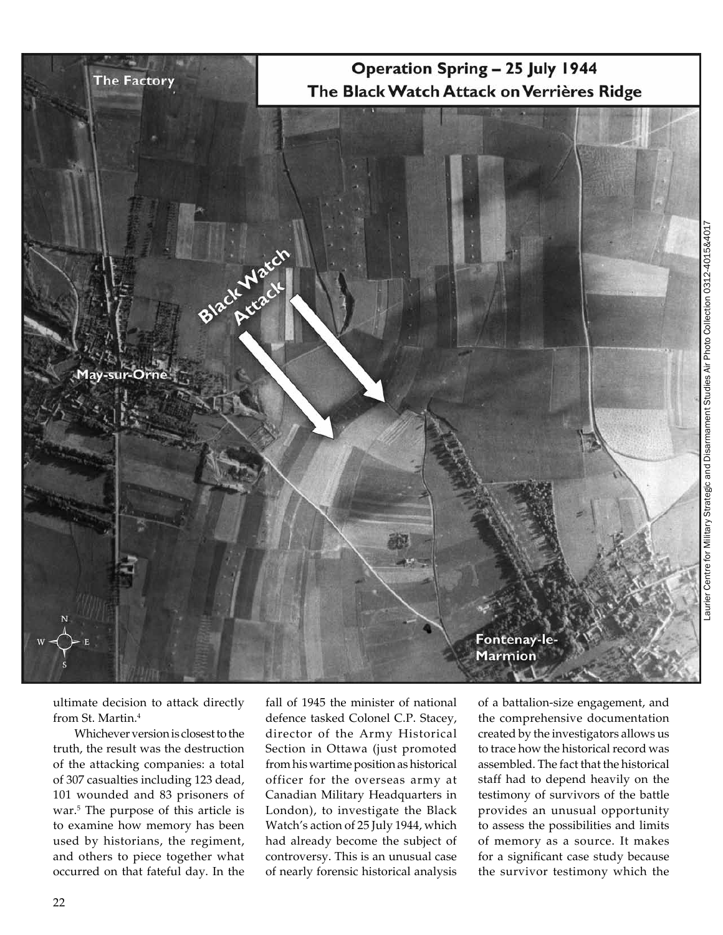

Laurier Centre for Military Strategic and Disarmament Studies Air Photo Collection 0312-4015&4017 aurier Centre for Military Strategic and Disarmament Studies Air Photo Collection 0312-4015&401

ultimate decision to attack directly from St. Martin.4

Whichever version is closest to the truth, the result was the destruction of the attacking companies: a total of 307 casualties including 123 dead, 101 wounded and 83 prisoners of war.<sup>5</sup> The purpose of this article is to examine how memory has been used by historians, the regiment, and others to piece together what occurred on that fateful day. In the

fall of 1945 the minister of national defence tasked Colonel C.P. Stacey, director of the Army Historical Section in Ottawa (just promoted from his wartime position as historical officer for the overseas army at Canadian Military Headquarters in London), to investigate the Black Watch's action of 25 July 1944, which had already become the subject of controversy. This is an unusual case of nearly forensic historical analysis

of a battalion-size engagement, and the comprehensive documentation created by the investigators allows us to trace how the historical record was assembled. The fact that the historical staff had to depend heavily on the testimony of survivors of the battle provides an unusual opportunity to assess the possibilities and limits of memory as a source. It makes for a significant case study because the survivor testimony which the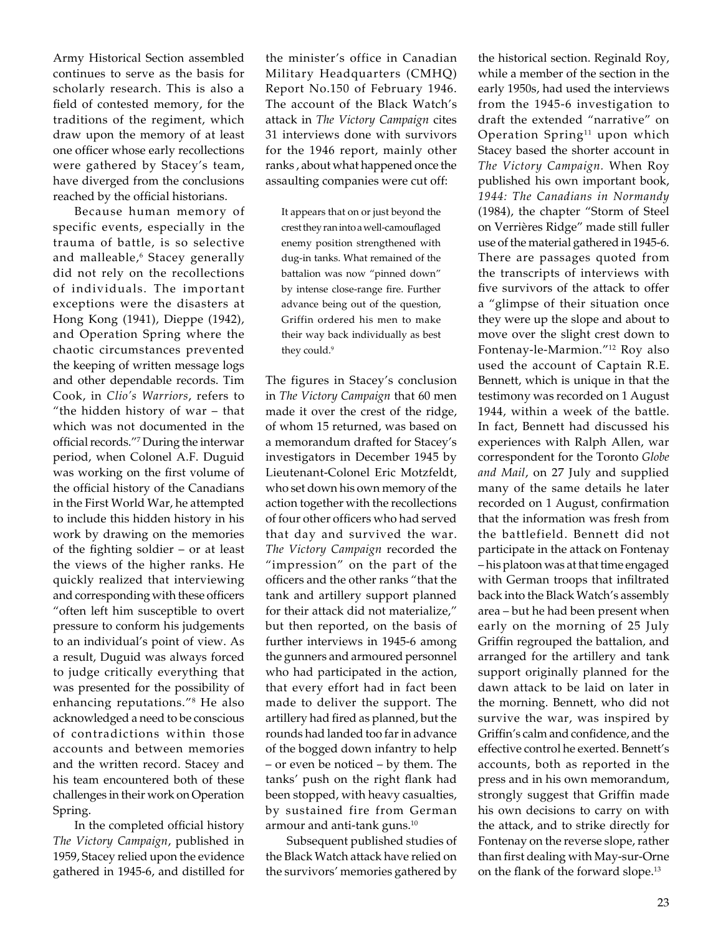Army Historical Section assembled continues to serve as the basis for scholarly research. This is also a field of contested memory, for the traditions of the regiment, which draw upon the memory of at least one officer whose early recollections were gathered by Stacey's team, have diverged from the conclusions reached by the official historians.

Because human memory of specific events, especially in the trauma of battle, is so selective and malleable,<sup>6</sup> Stacey generally did not rely on the recollections of individuals. The important exceptions were the disasters at Hong Kong (1941), Dieppe (1942), and Operation Spring where the chaotic circumstances prevented the keeping of written message logs and other dependable records. Tim Cook, in *Clio's Warriors*, refers to "the hidden history of war – that which was not documented in the official records."7 During the interwar period, when Colonel A.F. Duguid was working on the first volume of the official history of the Canadians in the First World War, he attempted to include this hidden history in his work by drawing on the memories of the fighting soldier – or at least the views of the higher ranks. He quickly realized that interviewing and corresponding with these officers "often left him susceptible to overt pressure to conform his judgements to an individual's point of view. As a result, Duguid was always forced to judge critically everything that was presented for the possibility of enhancing reputations."<sup>8</sup> He also acknowledged a need to be conscious of contradictions within those accounts and between memories and the written record. Stacey and his team encountered both of these challenges in their work on Operation Spring.

In the completed official history *The Victory Campaign*, published in 1959, Stacey relied upon the evidence gathered in 1945‑6, and distilled for the minister's office in Canadian Military Headquarters (CMHQ) Report No.150 of February 1946. The account of the Black Watch's attack in *The Victory Campaign* cites 31 interviews done with survivors for the 1946 report, mainly other ranks , about what happened once the assaulting companies were cut off:

It appears that on or just beyond the crest they ran into a well-camouflaged enemy position strengthened with dug-in tanks. What remained of the battalion was now "pinned down" by intense close-range fire. Further advance being out of the question, Griffin ordered his men to make their way back individually as best they could.<sup>9</sup>

The figures in Stacey's conclusion in *The Victory Campaign* that 60 men made it over the crest of the ridge, of whom 15 returned, was based on a memorandum drafted for Stacey's investigators in December 1945 by Lieutenant-Colonel Eric Motzfeldt, who set down his own memory of the action together with the recollections of four other officers who had served that day and survived the war. *The Victory Campaign* recorded the "impression" on the part of the officers and the other ranks "that the tank and artillery support planned for their attack did not materialize," but then reported, on the basis of further interviews in 1945‑6 among the gunners and armoured personnel who had participated in the action, that every effort had in fact been made to deliver the support. The artillery had fired as planned, but the rounds had landed too far in advance of the bogged down infantry to help – or even be noticed – by them. The tanks' push on the right flank had been stopped, with heavy casualties, by sustained fire from German armour and anti-tank guns.<sup>10</sup>

Subsequent published studies of the Black Watch attack have relied on the survivors' memories gathered by

the historical section. Reginald Roy, while a member of the section in the early 1950s, had used the interviews from the 1945‑6 investigation to draft the extended "narrative" on Operation Spring<sup>11</sup> upon which Stacey based the shorter account in *The Victory Campaign.* When Roy published his own important book, *1944: The Canadians in Normandy* (1984), the chapter "Storm of Steel on Verrières Ridge" made still fuller use of the material gathered in 1945‑6. There are passages quoted from the transcripts of interviews with five survivors of the attack to offer a "glimpse of their situation once they were up the slope and about to move over the slight crest down to Fontenay-le-Marmion."12 Roy also used the account of Captain R.E. Bennett, which is unique in that the testimony was recorded on 1 August 1944, within a week of the battle. In fact, Bennett had discussed his experiences with Ralph Allen, war correspondent for the Toronto *Globe and Mail*, on 27 July and supplied many of the same details he later recorded on 1 August, confirmation that the information was fresh from the battlefield. Bennett did not participate in the attack on Fontenay – his platoon was at that time engaged with German troops that infiltrated back into the Black Watch's assembly area – but he had been present when early on the morning of 25 July Griffin regrouped the battalion, and arranged for the artillery and tank support originally planned for the dawn attack to be laid on later in the morning. Bennett, who did not survive the war, was inspired by Griffin's calm and confidence, and the effective control he exerted. Bennett's accounts, both as reported in the press and in his own memorandum, strongly suggest that Griffin made his own decisions to carry on with the attack, and to strike directly for Fontenay on the reverse slope, rather than first dealing with May-sur-Orne on the flank of the forward slope.13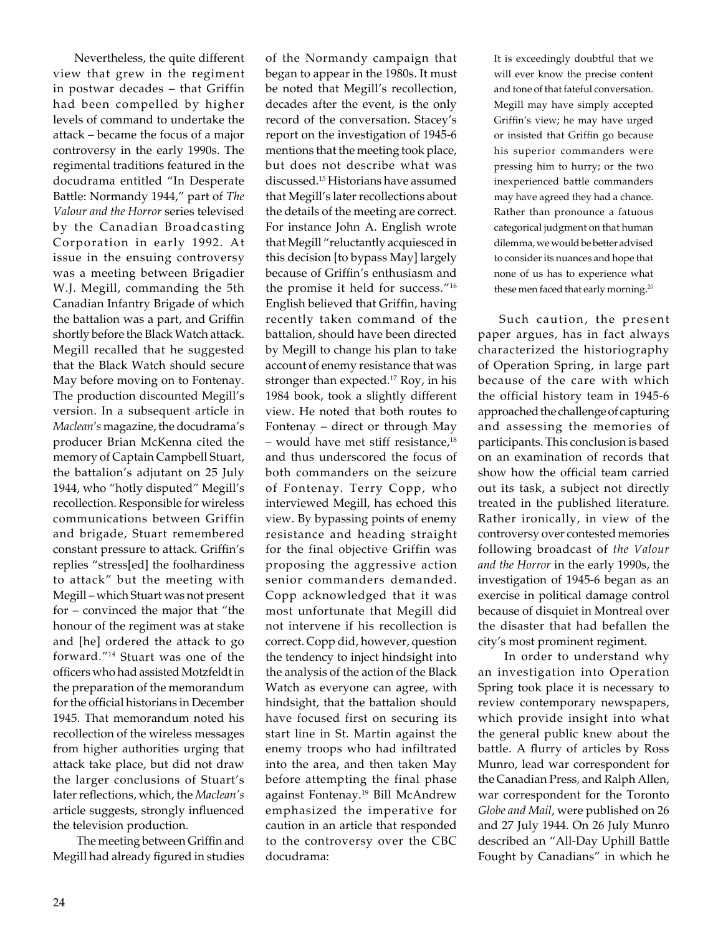Nevertheless, the quite different view that grew in the regiment in postwar decades – that Griffin had been compelled by higher levels of command to undertake the attack – became the focus of a major controversy in the early 1990s. The regimental traditions featured in the docudrama entitled "In Desperate Battle: Normandy 1944," part of *The Valour and the Horror* series televised by the Canadian Broadcasting Corporation in early 1992. At issue in the ensuing controversy was a meeting between Brigadier W.J. Megill, commanding the 5th Canadian Infantry Brigade of which the battalion was a part, and Griffin shortly before the Black Watch attack. Megill recalled that he suggested that the Black Watch should secure May before moving on to Fontenay. The production discounted Megill's version. In a subsequent article in *Maclean*'*s* magazine, the docudrama's producer Brian McKenna cited the memory of Captain Campbell Stuart, the battalion's adjutant on 25 July 1944, who "hotly disputed" Megill's recollection. Responsible for wireless communications between Griffin and brigade, Stuart remembered constant pressure to attack. Griffin's replies "stress[ed] the foolhardiness to attack" but the meeting with Megill – which Stuart was not present for – convinced the major that "the honour of the regiment was at stake and [he] ordered the attack to go forward."<sup>14</sup> Stuart was one of the officers who had assisted Motzfeldt in the preparation of the memorandum for the official historians in December 1945. That memorandum noted his recollection of the wireless messages from higher authorities urging that attack take place, but did not draw the larger conclusions of Stuart's later reflections, which, the *Maclean's*  article suggests, strongly influenced the television production.

 The meeting between Griffin and Megill had already figured in studies of the Normandy campaign that began to appear in the 1980s. It must be noted that Megill's recollection, decades after the event, is the only record of the conversation. Stacey's report on the investigation of 1945‑6 mentions that the meeting took place, but does not describe what was discussed.15 Historians have assumed that Megill's later recollections about the details of the meeting are correct. For instance John A. English wrote that Megill "reluctantly acquiesced in this decision [to bypass May] largely because of Griffin's enthusiasm and the promise it held for success."<sup>16</sup> English believed that Griffin, having recently taken command of the battalion, should have been directed by Megill to change his plan to take account of enemy resistance that was stronger than expected.<sup>17</sup> Roy, in his 1984 book, took a slightly different view. He noted that both routes to Fontenay – direct or through May  $-$  would have met stiff resistance,<sup>18</sup> and thus underscored the focus of both commanders on the seizure of Fontenay. Terry Copp, who interviewed Megill, has echoed this view. By bypassing points of enemy resistance and heading straight for the final objective Griffin was proposing the aggressive action senior commanders demanded. Copp acknowledged that it was most unfortunate that Megill did not intervene if his recollection is correct. Copp did, however, question the tendency to inject hindsight into the analysis of the action of the Black Watch as everyone can agree, with hindsight, that the battalion should have focused first on securing its start line in St. Martin against the enemy troops who had infiltrated into the area, and then taken May before attempting the final phase against Fontenay.19 Bill McAndrew emphasized the imperative for caution in an article that responded to the controversy over the CBC docudrama:

It is exceedingly doubtful that we will ever know the precise content and tone of that fateful conversation. Megill may have simply accepted Griffin's view; he may have urged or insisted that Griffin go because his superior commanders were pressing him to hurry; or the two inexperienced battle commanders may have agreed they had a chance. Rather than pronounce a fatuous categorical judgment on that human dilemma, we would be better advised to consider its nuances and hope that none of us has to experience what these men faced that early morning.<sup>20</sup>

Such caution, the present paper argues, has in fact always characterized the historiography of Operation Spring, in large part because of the care with which the official history team in 1945‑6 approached the challenge of capturing and assessing the memories of participants. This conclusion is based on an examination of records that show how the official team carried out its task, a subject not directly treated in the published literature. Rather ironically, in view of the controversy over contested memories following broadcast of *the Valour and the Horror* in the early 1990s, the investigation of 1945‑6 began as an exercise in political damage control because of disquiet in Montreal over the disaster that had befallen the city's most prominent regiment.

 In order to understand why an investigation into Operation Spring took place it is necessary to review contemporary newspapers, which provide insight into what the general public knew about the battle. A flurry of articles by Ross Munro, lead war correspondent for the Canadian Press*,* and Ralph Allen, war correspondent for the Toronto *Globe and Mail*, were published on 26 and 27 July 1944. On 26 July Munro described an "All-Day Uphill Battle Fought by Canadians" in which he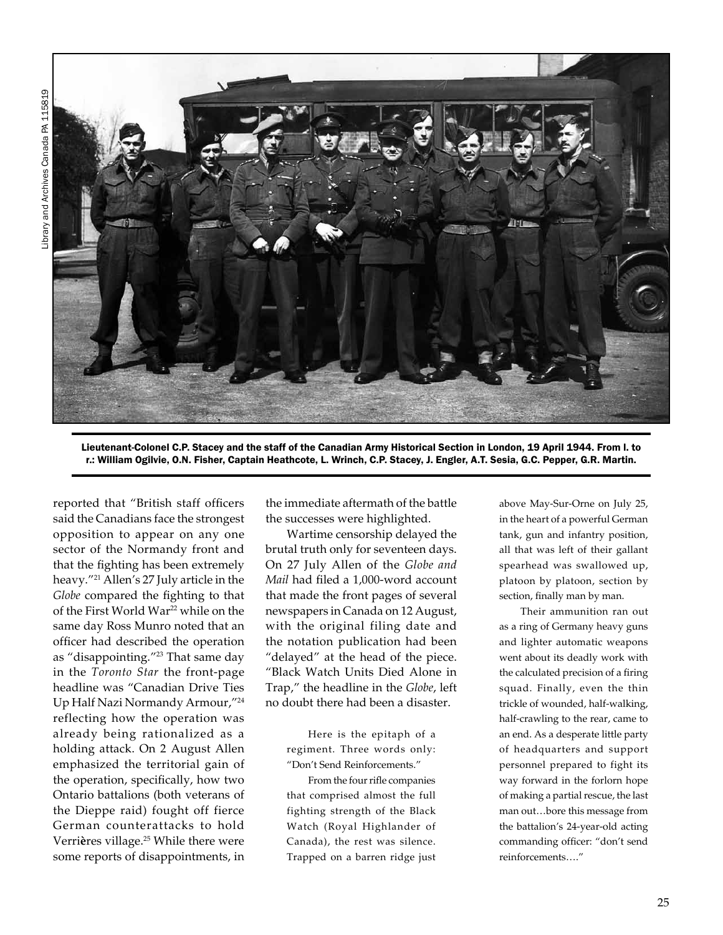

Lieutenant-Colonel C.P. Stacey and the staff of the Canadian Army Historical Section in London, 19 April 1944. From l. to r.: William Ogilvie, O.N. Fisher, Captain Heathcote, L. Wrinch, C.P. Stacey, J. Engler, A.T. Sesia, G.C. Pepper, G.R. Martin.

reported that "British staff officers said the Canadians face the strongest opposition to appear on any one sector of the Normandy front and that the fighting has been extremely heavy."21 Allen's 27 July article in the *Globe* compared the fighting to that of the First World War<sup>22</sup> while on the same day Ross Munro noted that an officer had described the operation as "disappointing."23 That same day in the *Toronto Star* the front-page headline was "Canadian Drive Ties Up Half Nazi Normandy Armour,"<sup>24</sup> reflecting how the operation was already being rationalized as a holding attack. On 2 August Allen emphasized the territorial gain of the operation, specifically, how two Ontario battalions (both veterans of the Dieppe raid) fought off fierce German counterattacks to hold Verrières village.<sup>25</sup> While there were some reports of disappointments, in

the immediate aftermath of the battle the successes were highlighted.

Wartime censorship delayed the brutal truth only for seventeen days. On 27 July Allen of the *Globe and Mail* had filed a 1,000-word account that made the front pages of several newspapers in Canada on 12 August, with the original filing date and the notation publication had been "delayed" at the head of the piece. "Black Watch Units Died Alone in Trap," the headline in the *Globe*, left no doubt there had been a disaster.

> Here is the epitaph of a regiment. Three words only: "Don't Send Reinforcements."

From the four rifle companies that comprised almost the full fighting strength of the Black Watch (Royal Highlander of Canada), the rest was silence. Trapped on a barren ridge just

above May-Sur-Orne on July 25, in the heart of a powerful German tank, gun and infantry position, all that was left of their gallant spearhead was swallowed up, platoon by platoon, section by section, finally man by man.

Their ammunition ran out as a ring of Germany heavy guns and lighter automatic weapons went about its deadly work with the calculated precision of a firing squad. Finally, even the thin trickle of wounded, half-walking, half-crawling to the rear, came to an end. As a desperate little party of headquarters and support personnel prepared to fight its way forward in the forlorn hope of making a partial rescue, the last man out…bore this message from the battalion's 24-year-old acting commanding officer: "don't send reinforcements…."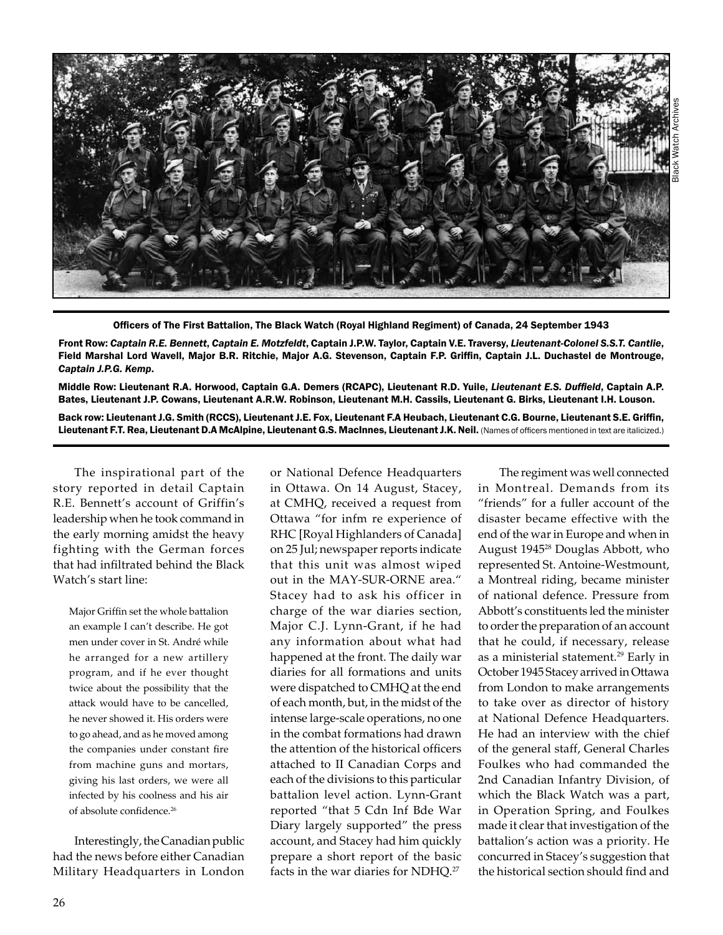

Officers of The First Battalion, The Black Watch (Royal Highland Regiment) of Canada, 24 September 1943

Front Row: *Captain R.E. Bennett*, *Captain E. Motzfeldt*, Captain J.P.W. Taylor, Captain V.E. Traversy, *Lieutenant-Colonel S.S.T. Cantlie*, Field Marshal Lord Wavell, Major B.R. Ritchie, Major A.G. Stevenson, Captain F.P. Griffin, Captain J.L. Duchastel de Montrouge, *Captain J.P.G. Kemp*.

Middle Row: Lieutenant R.A. Horwood, Captain G.A. Demers (RCAPC), Lieutenant R.D. Yuile, *Lieutenant E.S. Duffield*, Captain A.P. Bates, Lieutenant J.P. Cowans, Lieutenant A.R.W. Robinson, Lieutenant M.H. Cassils, Lieutenant G. Birks, Lieutenant I.H. Louson.

Back row: Lieutenant J.G. Smith (RCCS), Lieutenant J.E. Fox, Lieutenant F.A Heubach, Lieutenant C.G. Bourne, Lieutenant S.E. Griffin, Lieutenant F.T. Rea, Lieutenant D.A McAlpine, Lieutenant G.S. MacInnes, Lieutenant J.K. Neil. (Names of officers mentioned in text are italicized.)

The inspirational part of the story reported in detail Captain R.E. Bennett's account of Griffin's leadership when he took command in the early morning amidst the heavy fighting with the German forces that had infiltrated behind the Black Watch's start line:

Major Griffin set the whole battalion an example I can't describe. He got men under cover in St. André while he arranged for a new artillery program, and if he ever thought twice about the possibility that the attack would have to be cancelled, he never showed it. His orders were to go ahead, and as he moved among the companies under constant fire from machine guns and mortars, giving his last orders, we were all infected by his coolness and his air of absolute confidence.26

Interestingly, the Canadian public had the news before either Canadian Military Headquarters in London or National Defence Headquarters in Ottawa. On 14 August, Stacey, at CMHQ, received a request from Ottawa "for infm re experience of RHC [Royal Highlanders of Canada] on 25 Jul; newspaper reports indicate that this unit was almost wiped out in the MAY-SUR-ORNE area." Stacey had to ask his officer in charge of the war diaries section, Major C.J. Lynn-Grant, if he had any information about what had happened at the front. The daily war diaries for all formations and units were dispatched to CMHQ at the end of each month, but, in the midst of the intense large-scale operations, no one in the combat formations had drawn the attention of the historical officers attached to II Canadian Corps and each of the divisions to this particular battalion level action. Lynn-Grant reported "that 5 Cdn Inf Bde War Diary largely supported" the press account, and Stacey had him quickly prepare a short report of the basic facts in the war diaries for NDHQ.27

The regiment was well connected in Montreal. Demands from its "friends" for a fuller account of the disaster became effective with the end of the war in Europe and when in August 194528 Douglas Abbott, who represented St. Antoine-Westmount, a Montreal riding, became minister of national defence. Pressure from Abbott's constituents led the minister to order the preparation of an account that he could, if necessary, release as a ministerial statement.<sup>29</sup> Early in October 1945 Stacey arrived in Ottawa from London to make arrangements to take over as director of history at National Defence Headquarters. He had an interview with the chief of the general staff, General Charles Foulkes who had commanded the 2nd Canadian Infantry Division, of which the Black Watch was a part, in Operation Spring, and Foulkes made it clear that investigation of the battalion's action was a priority. He concurred in Stacey's suggestion that the historical section should find and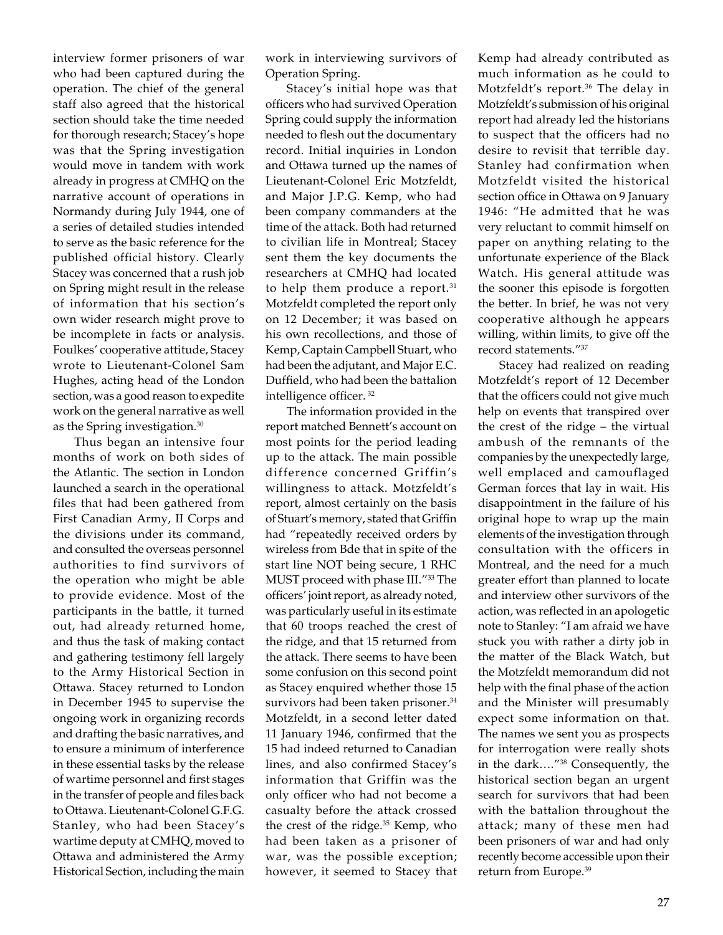interview former prisoners of war who had been captured during the operation. The chief of the general staff also agreed that the historical section should take the time needed for thorough research; Stacey's hope was that the Spring investigation would move in tandem with work already in progress at CMHQ on the narrative account of operations in Normandy during July 1944, one of a series of detailed studies intended to serve as the basic reference for the published official history. Clearly Stacey was concerned that a rush job on Spring might result in the release of information that his section's own wider research might prove to be incomplete in facts or analysis. Foulkes' cooperative attitude, Stacey wrote to Lieutenant-Colonel Sam Hughes, acting head of the London section, was a good reason to expedite work on the general narrative as well as the Spring investigation.<sup>30</sup>

Thus began an intensive four months of work on both sides of the Atlantic. The section in London launched a search in the operational files that had been gathered from First Canadian Army, II Corps and the divisions under its command, and consulted the overseas personnel authorities to find survivors of the operation who might be able to provide evidence. Most of the participants in the battle, it turned out, had already returned home, and thus the task of making contact and gathering testimony fell largely to the Army Historical Section in Ottawa. Stacey returned to London in December 1945 to supervise the ongoing work in organizing records and drafting the basic narratives, and to ensure a minimum of interference in these essential tasks by the release of wartime personnel and first stages in the transfer of people and files back to Ottawa. Lieutenant-Colonel G.F.G. Stanley, who had been Stacey's wartime deputy at CMHQ, moved to Ottawa and administered the Army Historical Section, including the main work in interviewing survivors of Operation Spring.

Stacey's initial hope was that officers who had survived Operation Spring could supply the information needed to flesh out the documentary record. Initial inquiries in London and Ottawa turned up the names of Lieutenant-Colonel Eric Motzfeldt, and Major J.P.G. Kemp, who had been company commanders at the time of the attack. Both had returned to civilian life in Montreal; Stacey sent them the key documents the researchers at CMHQ had located to help them produce a report.<sup>31</sup> Motzfeldt completed the report only on 12 December; it was based on his own recollections, and those of Kemp, Captain Campbell Stuart, who had been the adjutant, and Major E.C. Duffield, who had been the battalion intelligence officer. 32

The information provided in the report matched Bennett's account on most points for the period leading up to the attack. The main possible difference concerned Griffin's willingness to attack. Motzfeldt's report, almost certainly on the basis of Stuart's memory, stated that Griffin had "repeatedly received orders by wireless from Bde that in spite of the start line NOT being secure, 1 RHC MUST proceed with phase III."33 The officers' joint report, as already noted, was particularly useful in its estimate that 60 troops reached the crest of the ridge, and that 15 returned from the attack. There seems to have been some confusion on this second point as Stacey enquired whether those 15 survivors had been taken prisoner.<sup>34</sup> Motzfeldt, in a second letter dated 11 January 1946, confirmed that the 15 had indeed returned to Canadian lines, and also confirmed Stacey's information that Griffin was the only officer who had not become a casualty before the attack crossed the crest of the ridge. $35$  Kemp, who had been taken as a prisoner of war, was the possible exception; however, it seemed to Stacey that

Kemp had already contributed as much information as he could to Motzfeldt's report.<sup>36</sup> The delay in Motzfeldt's submission of his original report had already led the historians to suspect that the officers had no desire to revisit that terrible day. Stanley had confirmation when Motzfeldt visited the historical section office in Ottawa on 9 January 1946: "He admitted that he was very reluctant to commit himself on paper on anything relating to the unfortunate experience of the Black Watch. His general attitude was the sooner this episode is forgotten the better. In brief, he was not very cooperative although he appears willing, within limits, to give off the record statements."<sup>37</sup>

Stacey had realized on reading Motzfeldt's report of 12 December that the officers could not give much help on events that transpired over the crest of the ridge – the virtual ambush of the remnants of the companies by the unexpectedly large, well emplaced and camouflaged German forces that lay in wait. His disappointment in the failure of his original hope to wrap up the main elements of the investigation through consultation with the officers in Montreal, and the need for a much greater effort than planned to locate and interview other survivors of the action, was reflected in an apologetic note to Stanley: "I am afraid we have stuck you with rather a dirty job in the matter of the Black Watch, but the Motzfeldt memorandum did not help with the final phase of the action and the Minister will presumably expect some information on that. The names we sent you as prospects for interrogation were really shots in the dark…."38 Consequently, the historical section began an urgent search for survivors that had been with the battalion throughout the attack; many of these men had been prisoners of war and had only recently become accessible upon their return from Europe.39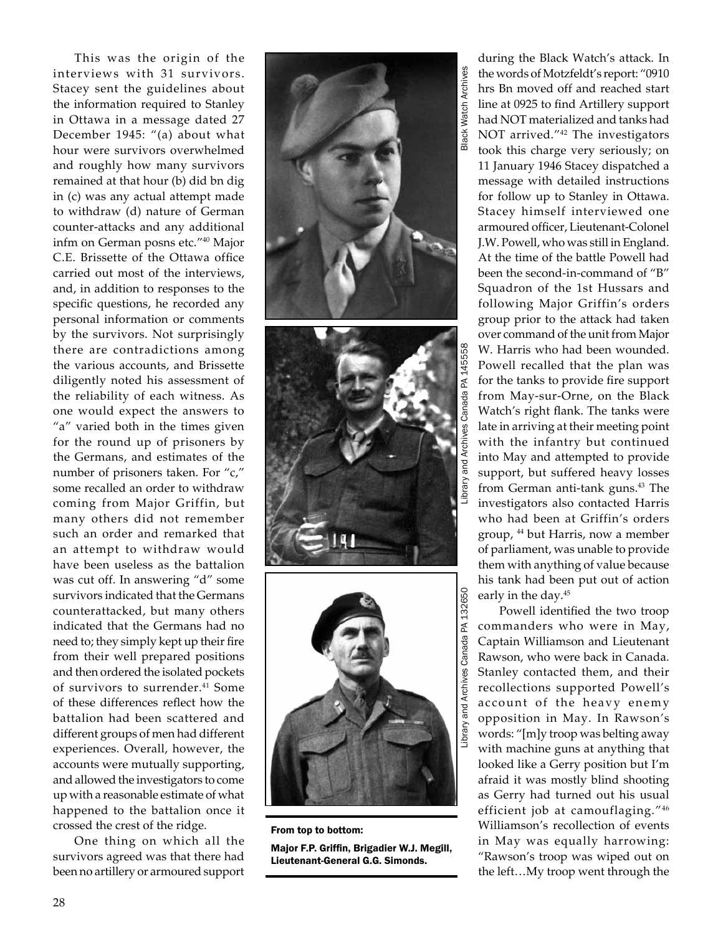This was the origin of the interviews with 31 survivors. Stacey sent the guidelines about the information required to Stanley in Ottawa in a message dated 27 December 1945: "(a) about what hour were survivors overwhelmed and roughly how many survivors remained at that hour (b) did bn dig in (c) was any actual attempt made to withdraw (d) nature of German counter-attacks and any additional infm on German posns etc."<sup>40</sup> Major C.E. Brissette of the Ottawa office carried out most of the interviews, and, in addition to responses to the specific questions, he recorded any personal information or comments by the survivors. Not surprisingly there are contradictions among the various accounts, and Brissette diligently noted his assessment of the reliability of each witness. As one would expect the answers to "a" varied both in the times given for the round up of prisoners by the Germans, and estimates of the number of prisoners taken. For "c," some recalled an order to withdraw coming from Major Griffin, but many others did not remember such an order and remarked that an attempt to withdraw would have been useless as the battalion was cut off. In answering "d" some survivors indicated that the Germans counterattacked, but many others indicated that the Germans had no need to; they simply kept up their fire from their well prepared positions and then ordered the isolated pockets of survivors to surrender.<sup>41</sup> Some of these differences reflect how the battalion had been scattered and different groups of men had different experiences. Overall, however, the accounts were mutually supporting, and allowed the investigators to come up with a reasonable estimate of what happened to the battalion once it crossed the crest of the ridge.

One thing on which all the survivors agreed was that there had been no artillery or armoured support



From top to bottom:

Major F.P. Griffin, Brigadier W.J. Megill, Lieutenant-General G.G. Simonds.

during the Black Watch's attack. In the words of Motzfeldt's report: "0910 hrs Bn moved off and reached start line at 0925 to find Artillery support had NOT materialized and tanks had NOT arrived."<sup>42</sup> The investigators took this charge very seriously; on 11 January 1946 Stacey dispatched a message with detailed instructions for follow up to Stanley in Ottawa. Stacey himself interviewed one armoured officer, Lieutenant-Colonel J.W. Powell, who was still in England. At the time of the battle Powell had been the second-in-command of "B" Squadron of the 1st Hussars and following Major Griffin's orders group prior to the attack had taken over command of the unit from Major W. Harris who had been wounded. Powell recalled that the plan was for the tanks to provide fire support from May-sur-Orne, on the Black Watch's right flank. The tanks were late in arriving at their meeting point with the infantry but continued into May and attempted to provide support, but suffered heavy losses from German anti-tank guns.<sup>43</sup> The investigators also contacted Harris who had been at Griffin's orders group, 44 but Harris, now a member of parliament, was unable to provide them with anything of value because his tank had been put out of action

early in the day.<sup>45</sup> Powell identified the two troop commanders who were in May, Captain Williamson and Lieutenant Rawson, who were back in Canada. Stanley contacted them, and their recollections supported Powell's account of the heavy enemy opposition in May. In Rawson's words: "[m]y troop was belting away with machine guns at anything that looked like a Gerry position but I'm afraid it was mostly blind shooting as Gerry had turned out his usual efficient job at camouflaging."<sup>46</sup> Williamson's recollection of events in May was equally harrowing: "Rawson's troop was wiped out on the left…My troop went through the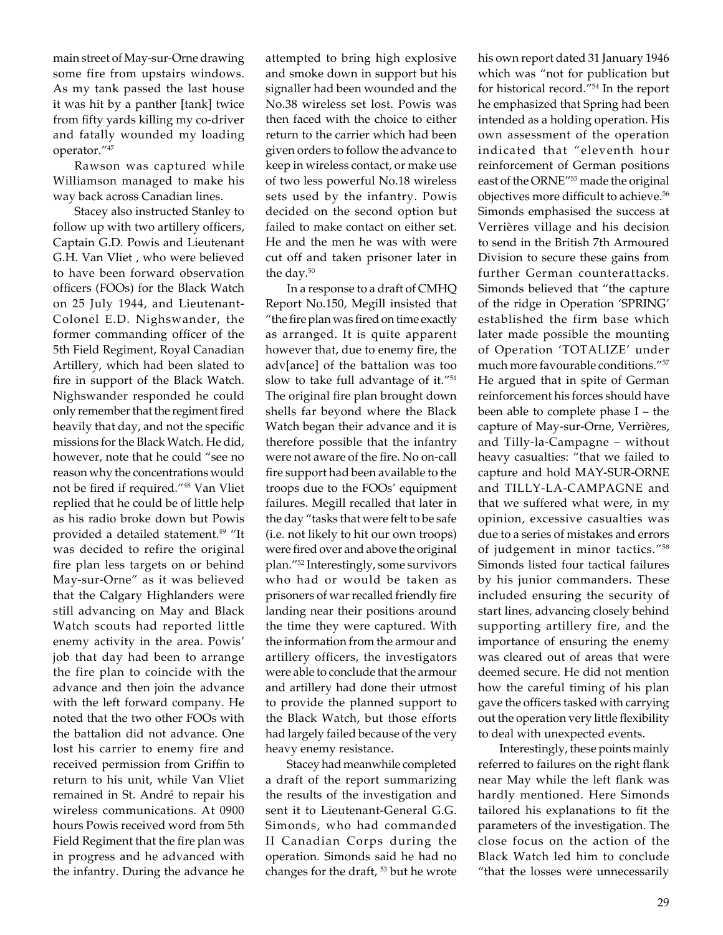main street of May-sur-Orne drawing some fire from upstairs windows. As my tank passed the last house it was hit by a panther [tank] twice from fifty yards killing my co-driver and fatally wounded my loading operator."<sup>47</sup>

Rawson was captured while Williamson managed to make his way back across Canadian lines.

Stacey also instructed Stanley to follow up with two artillery officers, Captain G.D. Powis and Lieutenant G.H. Van Vliet , who were believed to have been forward observation officers (FOOs) for the Black Watch on 25 July 1944, and Lieutenant-Colonel E.D. Nighswander, the former commanding officer of the 5th Field Regiment, Royal Canadian Artillery, which had been slated to fire in support of the Black Watch. Nighswander responded he could only remember that the regiment fired heavily that day, and not the specific missions for the Black Watch. He did, however, note that he could "see no reason why the concentrations would not be fired if required."48 Van Vliet replied that he could be of little help as his radio broke down but Powis provided a detailed statement.<sup>49</sup> "It was decided to refire the original fire plan less targets on or behind May-sur-Orne" as it was believed that the Calgary Highlanders were still advancing on May and Black Watch scouts had reported little enemy activity in the area. Powis' job that day had been to arrange the fire plan to coincide with the advance and then join the advance with the left forward company. He noted that the two other FOOs with the battalion did not advance. One lost his carrier to enemy fire and received permission from Griffin to return to his unit, while Van Vliet remained in St. André to repair his wireless communications. At 0900 hours Powis received word from 5th Field Regiment that the fire plan was in progress and he advanced with the infantry. During the advance he attempted to bring high explosive and smoke down in support but his signaller had been wounded and the No.38 wireless set lost. Powis was then faced with the choice to either return to the carrier which had been given orders to follow the advance to keep in wireless contact, or make use of two less powerful No.18 wireless sets used by the infantry. Powis decided on the second option but failed to make contact on either set. He and the men he was with were cut off and taken prisoner later in the day.<sup>50</sup>

In a response to a draft of CMHQ Report No.150, Megill insisted that "the fire plan was fired on time exactly as arranged. It is quite apparent however that, due to enemy fire, the adv[ance] of the battalion was too slow to take full advantage of it."<sup>51</sup> The original fire plan brought down shells far beyond where the Black Watch began their advance and it is therefore possible that the infantry were not aware of the fire. No on-call fire support had been available to the troops due to the FOOs' equipment failures. Megill recalled that later in the day "tasks that were felt to be safe (i.e. not likely to hit our own troops) were fired over and above the original plan."52 Interestingly, some survivors who had or would be taken as prisoners of war recalled friendly fire landing near their positions around the time they were captured. With the information from the armour and artillery officers, the investigators were able to conclude that the armour and artillery had done their utmost to provide the planned support to the Black Watch, but those efforts had largely failed because of the very heavy enemy resistance.

Stacey had meanwhile completed a draft of the report summarizing the results of the investigation and sent it to Lieutenant-General G.G. Simonds, who had commanded II Canadian Corps during the operation. Simonds said he had no changes for the draft, <sup>53</sup> but he wrote

his own report dated 31 January 1946 which was "not for publication but for historical record."54 In the report he emphasized that Spring had been intended as a holding operation. His own assessment of the operation indicated that "eleventh hour reinforcement of German positions east of the ORNE"55 made the original objectives more difficult to achieve.56 Simonds emphasised the success at Verrières village and his decision to send in the British 7th Armoured Division to secure these gains from further German counterattacks. Simonds believed that "the capture of the ridge in Operation 'SPRING' established the firm base which later made possible the mounting of Operation 'TOTALIZE' under much more favourable conditions."<sup>57</sup> He argued that in spite of German reinforcement his forces should have been able to complete phase I – the capture of May-sur-Orne, Verrières, and Tilly-la-Campagne – without heavy casualties: "that we failed to capture and hold MAY-SUR-ORNE and TILLY-LA-CAMPAGNE and that we suffered what were, in my opinion, excessive casualties was due to a series of mistakes and errors of judgement in minor tactics."<sup>58</sup> Simonds listed four tactical failures by his junior commanders. These included ensuring the security of start lines, advancing closely behind supporting artillery fire, and the importance of ensuring the enemy was cleared out of areas that were deemed secure. He did not mention how the careful timing of his plan gave the officers tasked with carrying out the operation very little flexibility to deal with unexpected events.

Interestingly, these points mainly referred to failures on the right flank near May while the left flank was hardly mentioned. Here Simonds tailored his explanations to fit the parameters of the investigation. The close focus on the action of the Black Watch led him to conclude "that the losses were unnecessarily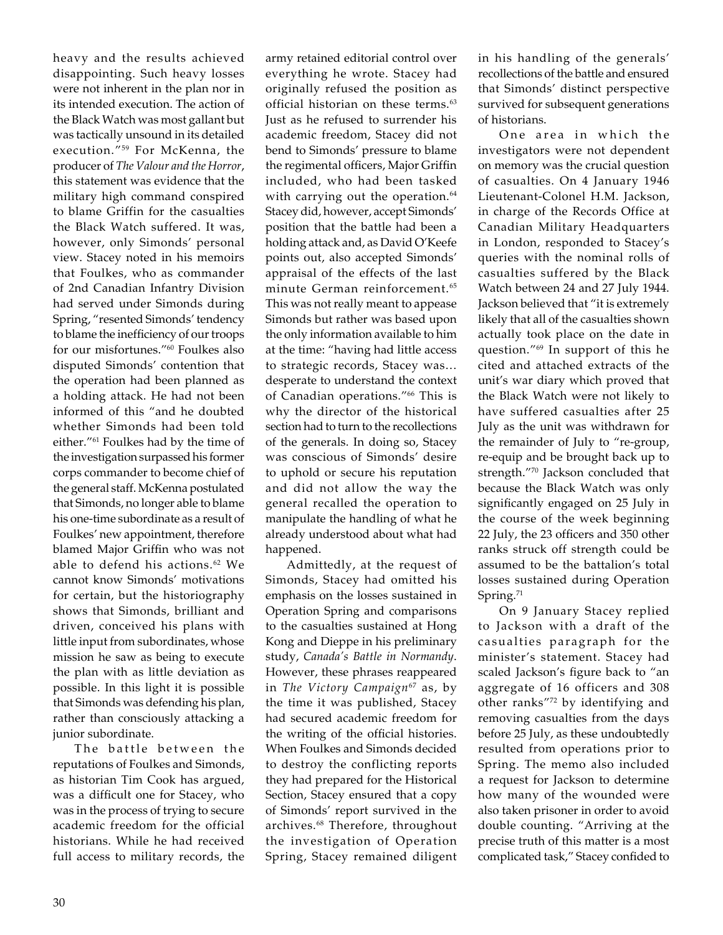heavy and the results achieved disappointing. Such heavy losses were not inherent in the plan nor in its intended execution. The action of the Black Watch was most gallant but was tactically unsound in its detailed execution."59 For McKenna, the producer of *The Valour and the Horror*, this statement was evidence that the military high command conspired to blame Griffin for the casualties the Black Watch suffered. It was, however, only Simonds' personal view. Stacey noted in his memoirs that Foulkes, who as commander of 2nd Canadian Infantry Division had served under Simonds during Spring, "resented Simonds' tendency to blame the inefficiency of our troops for our misfortunes."<sup>60</sup> Foulkes also disputed Simonds' contention that the operation had been planned as a holding attack. He had not been informed of this "and he doubted whether Simonds had been told either."<sup>61</sup> Foulkes had by the time of the investigation surpassed his former corps commander to become chief of the general staff. McKenna postulated that Simonds, no longer able to blame his one-time subordinate as a result of Foulkes' new appointment, therefore blamed Major Griffin who was not able to defend his actions.<sup>62</sup> We cannot know Simonds' motivations for certain, but the historiography shows that Simonds, brilliant and driven, conceived his plans with little input from subordinates, whose mission he saw as being to execute the plan with as little deviation as possible. In this light it is possible that Simonds was defending his plan, rather than consciously attacking a junior subordinate.

The battle between the reputations of Foulkes and Simonds, as historian Tim Cook has argued, was a difficult one for Stacey, who was in the process of trying to secure academic freedom for the official historians. While he had received full access to military records, the

army retained editorial control over everything he wrote. Stacey had originally refused the position as official historian on these terms.<sup>63</sup> Just as he refused to surrender his academic freedom, Stacey did not bend to Simonds' pressure to blame the regimental officers, Major Griffin included, who had been tasked with carrying out the operation.<sup>64</sup> Stacey did, however, accept Simonds' position that the battle had been a holding attack and, as David O'Keefe points out, also accepted Simonds' appraisal of the effects of the last minute German reinforcement.<sup>65</sup> This was not really meant to appease Simonds but rather was based upon the only information available to him at the time: "having had little access to strategic records, Stacey was… desperate to understand the context of Canadian operations."66 This is why the director of the historical section had to turn to the recollections of the generals. In doing so, Stacey was conscious of Simonds' desire to uphold or secure his reputation and did not allow the way the general recalled the operation to manipulate the handling of what he already understood about what had happened.

Admittedly, at the request of Simonds, Stacey had omitted his emphasis on the losses sustained in Operation Spring and comparisons to the casualties sustained at Hong Kong and Dieppe in his preliminary study, *Canada's Battle in Normandy*. However, these phrases reappeared in *The Victory Campaign*<sup>67</sup> as, by the time it was published, Stacey had secured academic freedom for the writing of the official histories. When Foulkes and Simonds decided to destroy the conflicting reports they had prepared for the Historical Section, Stacey ensured that a copy of Simonds' report survived in the archives.68 Therefore, throughout the investigation of Operation Spring, Stacey remained diligent

in his handling of the generals' recollections of the battle and ensured that Simonds' distinct perspective survived for subsequent generations of historians.

One area in which the investigators were not dependent on memory was the crucial question of casualties. On 4 January 1946 Lieutenant-Colonel H.M. Jackson, in charge of the Records Office at Canadian Military Headquarters in London, responded to Stacey's queries with the nominal rolls of casualties suffered by the Black Watch between 24 and 27 July 1944. Jackson believed that "it is extremely likely that all of the casualties shown actually took place on the date in question."69 In support of this he cited and attached extracts of the unit's war diary which proved that the Black Watch were not likely to have suffered casualties after 25 July as the unit was withdrawn for the remainder of July to "re-group, re-equip and be brought back up to strength."<sup>70</sup> Jackson concluded that because the Black Watch was only significantly engaged on 25 July in the course of the week beginning 22 July, the 23 officers and 350 other ranks struck off strength could be assumed to be the battalion's total losses sustained during Operation Spring.<sup>71</sup>

On 9 January Stacey replied to Jackson with a draft of the casualties paragraph for the minister's statement. Stacey had scaled Jackson's figure back to "an aggregate of 16 officers and 308 other ranks"<sup>72</sup> by identifying and removing casualties from the days before 25 July, as these undoubtedly resulted from operations prior to Spring. The memo also included a request for Jackson to determine how many of the wounded were also taken prisoner in order to avoid double counting. "Arriving at the precise truth of this matter is a most complicated task," Stacey confided to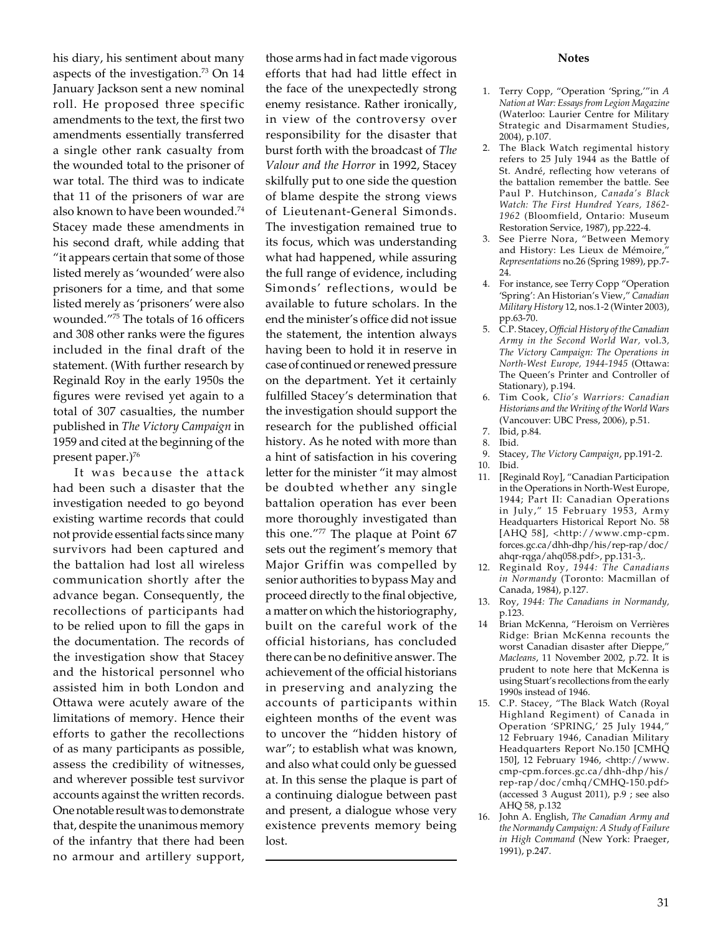his diary, his sentiment about many aspects of the investigation. $73$  On 14 January Jackson sent a new nominal roll. He proposed three specific amendments to the text, the first two amendments essentially transferred a single other rank casualty from the wounded total to the prisoner of war total. The third was to indicate that 11 of the prisoners of war are also known to have been wounded.74 Stacey made these amendments in his second draft, while adding that "it appears certain that some of those listed merely as 'wounded' were also prisoners for a time, and that some listed merely as 'prisoners' were also wounded."75 The totals of 16 officers and 308 other ranks were the figures included in the final draft of the statement. (With further research by Reginald Roy in the early 1950s the figures were revised yet again to a total of 307 casualties, the number published in *The Victory Campaign* in 1959 and cited at the beginning of the present paper.)<sup>76</sup>

It was because the attack had been such a disaster that the investigation needed to go beyond existing wartime records that could not provide essential facts since many survivors had been captured and the battalion had lost all wireless communication shortly after the advance began. Consequently, the recollections of participants had to be relied upon to fill the gaps in the documentation. The records of the investigation show that Stacey and the historical personnel who assisted him in both London and Ottawa were acutely aware of the limitations of memory. Hence their efforts to gather the recollections of as many participants as possible, assess the credibility of witnesses, and wherever possible test survivor accounts against the written records. One notable result was to demonstrate that, despite the unanimous memory of the infantry that there had been no armour and artillery support,

those arms had in fact made vigorous efforts that had had little effect in the face of the unexpectedly strong enemy resistance. Rather ironically, in view of the controversy over responsibility for the disaster that burst forth with the broadcast of *The Valour and the Horror* in 1992, Stacey skilfully put to one side the question of blame despite the strong views of Lieutenant-General Simonds. The investigation remained true to its focus, which was understanding what had happened, while assuring the full range of evidence, including Simonds' reflections, would be available to future scholars. In the end the minister's office did not issue the statement, the intention always having been to hold it in reserve in case of continued or renewed pressure on the department. Yet it certainly fulfilled Stacey's determination that the investigation should support the research for the published official history. As he noted with more than a hint of satisfaction in his covering letter for the minister "it may almost be doubted whether any single battalion operation has ever been more thoroughly investigated than this one."77 The plaque at Point 67 sets out the regiment's memory that Major Griffin was compelled by senior authorities to bypass May and proceed directly to the final objective, a matter on which the historiography, built on the careful work of the official historians, has concluded there can be no definitive answer. The achievement of the official historians in preserving and analyzing the accounts of participants within eighteen months of the event was to uncover the "hidden history of war"; to establish what was known, and also what could only be guessed at. In this sense the plaque is part of a continuing dialogue between past and present, a dialogue whose very existence prevents memory being lost.

## **Notes**

- 1. Terry Copp, "Operation 'Spring,'"in *A Nation at War: Essays from Legion Magazine* (Waterloo: Laurier Centre for Military Strategic and Disarmament Studies, 2004), p.107.
- 2. The Black Watch regimental history refers to 25 July 1944 as the Battle of St. André, reflecting how veterans of the battalion remember the battle. See Paul P. Hutchinson, *Canada's Black Watch: The First Hundred Years, 1862- 1962* (Bloomfield, Ontario: Museum Restoration Service, 1987), pp.222-4.
- 3. See Pierre Nora, "Between Memory and History: Les Lieux de Mémoire," *Representations* no.26 (Spring 1989), pp.7- 24.
- 4. For instance, see Terry Copp "Operation 'Spring': An Historian's View," *Canadian Military History* 12, nos.1-2 (Winter 2003), pp.63-70.
- 5. C.P. Stacey, *Official History of the Canadian Army in the Second World War,* vol.3*, The Victory Campaign: The Operations in North-West Europe, 1944-1945* (Ottawa: The Queen's Printer and Controller of Stationary), p.194.
- 6. Tim Cook, *Clio's Warriors: Canadian Historians and the Writing of the World Wars* (Vancouver: UBC Press, 2006), p.51.
- 7. Ibid, p.84.
- 8. Ibid.
- 9. Stacey, *The Victory Campaign*, pp.191-2.
- 10. Ibid.
- 11. [Reginald Roy], "Canadian Participation in the Operations in North-West Europe, 1944; Part II: Canadian Operations in July," 15 February 1953, Army Headquarters Historical Report No. 58 [AHQ 58], <http://www.cmp-cpm. forces.gc.ca/dhh-dhp/his/rep-rap/doc/ ahqr-rqga/ahq058.pdf>, pp.131-3,.
- 12. Reginald Roy, *1944: The Canadians in Normandy* (Toronto: Macmillan of Canada, 1984), p.127.
- 13. Roy, *1944: The Canadians in Normandy,* p.123.
- 14 Brian McKenna, "Heroism on Verrières Ridge: Brian McKenna recounts the worst Canadian disaster after Dieppe," *Macleans*, 11 November 2002, p.72. It is prudent to note here that McKenna is using Stuart's recollections from the early 1990s instead of 1946.
- 15. C.P. Stacey, "The Black Watch (Royal Highland Regiment) of Canada in Operation 'SPRING,' 25 July 1944," 12 February 1946, Canadian Military Headquarters Report No.150 [CMHQ 150], 12 February 1946, <http://www. cmp-cpm.forces.gc.ca/dhh-dhp/his/ rep-rap/doc/cmhq/CMHQ-150.pdf> (accessed 3 August 2011), p.9 ; see also AHQ 58, p.132
- 16. John A. English, *The Canadian Army and the Normandy Campaign: A Study of Failure in High Command* (New York: Praeger, 1991), p.247.